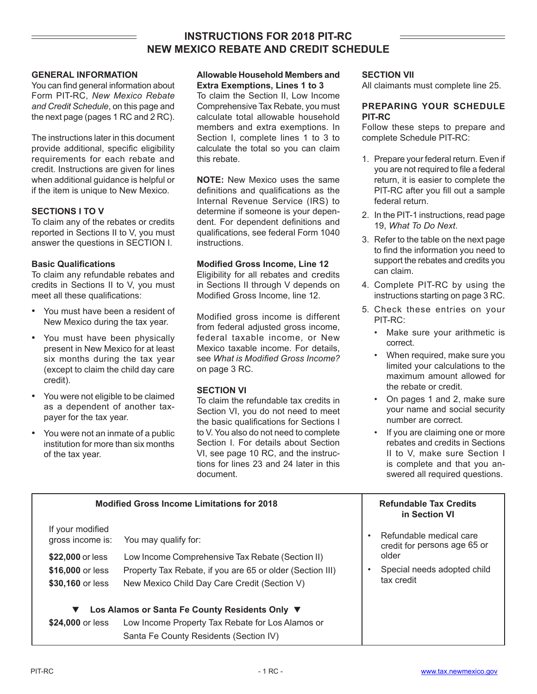## **INSTRUCTIONS FOR 2018 PIT-RC NEW MEXICO REBATE AND CREDIT SCHEDULE**

#### **GENERAL INFORMATION**

You can find general information about Form PIT-RC, *New Mexico Rebate and Credit Schedule*, on this page and the next page (pages 1 RC and 2 RC).

The instructions later in this document provide additional, specific eligibility requirements for each rebate and credit. Instructions are given for lines when additional guidance is helpful or if the item is unique to New Mexico.

#### **SECTIONS I TO V**

To claim any of the rebates or credits reported in Sections II to V, you must answer the questions in SECTION I.

#### **Basic Qualifications**

To claim any refundable rebates and credits in Sections II to V, you must meet all these qualifications:

- You must have been a resident of New Mexico during the tax year.
- You must have been physically present in New Mexico for at least six months during the tax year (except to claim the child day care credit).
- You were not eligible to be claimed as a dependent of another taxpayer for the tax year.
- You were not an inmate of a public institution for more than six months of the tax year.

#### **Allowable Household Members and Extra Exemptions, Lines 1 to 3**

To claim the Section II, Low Income Comprehensive Tax Rebate, you must calculate total allowable household members and extra exemptions. In Section I, complete lines 1 to 3 to calculate the total so you can claim this rebate.

**NOTE:** New Mexico uses the same definitions and qualifications as the Internal Revenue Service (IRS) to determine if someone is your dependent. For dependent definitions and qualifications, see federal Form 1040 instructions.

#### **Modified Gross Income, Line 12**

Eligibility for all rebates and credits in Sections II through V depends on Modified Gross Income, line 12.

Modified gross income is different from federal adjusted gross income, federal taxable income, or New Mexico taxable income. For details, see *What is Modified Gross Income?* on page 3 RC.

#### **SECTION VI**

To claim the refundable tax credits in Section VI, you do not need to meet the basic qualifications for Sections I to V. You also do not need to complete Section I. For details about Section VI, see page 10 RC, and the instructions for lines 23 and 24 later in this document.

#### **SECTION VII**

All claimants must complete line 25.

#### **PREPARING YOUR SCHEDULE PIT-RC**

Follow these steps to prepare and complete Schedule PIT-RC:

- 1. Prepare your federal return. Even if you are not required to file a federal return, it is easier to complete the PIT-RC after you fill out a sample federal return.
- 2. In the PIT-1 instructions, read page 19, *What To Do Next*.
- 3. Refer to the table on the next page to find the information you need to support the rebates and credits you can claim.
- 4. Complete PIT-RC by using the instructions starting on page 3 RC.
- 5. Check these entries on your PIT-RC:
	- Make sure your arithmetic is correct.
	- When required, make sure you limited your calculations to the maximum amount allowed for the rebate or credit.
	- On pages 1 and 2, make sure your name and social security number are correct.
	- If you are claiming one or more rebates and credits in Sections II to V, make sure Section I is complete and that you answered all required questions.

|                                      | <b>Modified Gross Income Limitations for 2018</b>         |           | <b>Refundable Tax Credits</b><br>in Section VI          |  |
|--------------------------------------|-----------------------------------------------------------|-----------|---------------------------------------------------------|--|
| If your modified<br>gross income is: | You may qualify for:                                      | $\bullet$ | Refundable medical care<br>credit for persons age 65 or |  |
| \$22,000 or less                     | Low Income Comprehensive Tax Rebate (Section II)          |           | older                                                   |  |
| \$16,000 or less                     | Property Tax Rebate, if you are 65 or older (Section III) |           | Special needs adopted child                             |  |
| \$30,160 or less                     | New Mexico Child Day Care Credit (Section V)              |           | tax credit                                              |  |
| ▼                                    | Los Alamos or Santa Fe County Residents Only ▼            |           |                                                         |  |
| \$24,000 or less                     | Low Income Property Tax Rebate for Los Alamos or          |           |                                                         |  |
|                                      | Santa Fe County Residents (Section IV)                    |           |                                                         |  |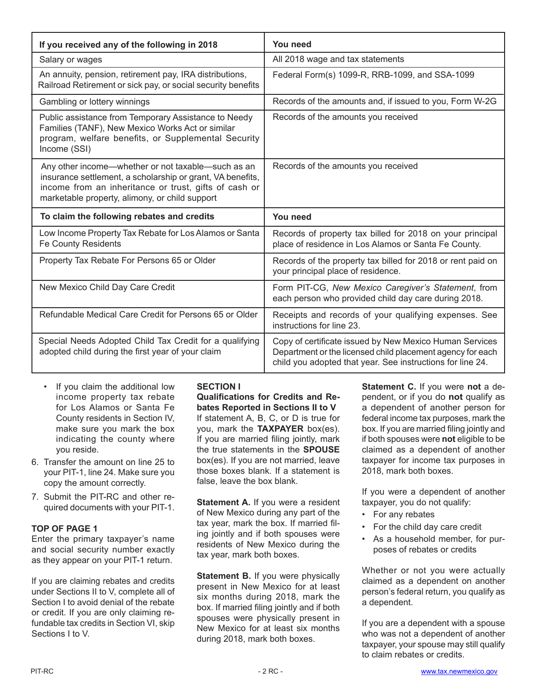| If you received any of the following in 2018                                                                                                                                                                                | You need                                                                                                                                                                            |  |  |  |
|-----------------------------------------------------------------------------------------------------------------------------------------------------------------------------------------------------------------------------|-------------------------------------------------------------------------------------------------------------------------------------------------------------------------------------|--|--|--|
| Salary or wages                                                                                                                                                                                                             | All 2018 wage and tax statements                                                                                                                                                    |  |  |  |
| An annuity, pension, retirement pay, IRA distributions,<br>Railroad Retirement or sick pay, or social security benefits                                                                                                     | Federal Form(s) 1099-R, RRB-1099, and SSA-1099                                                                                                                                      |  |  |  |
| Gambling or lottery winnings                                                                                                                                                                                                | Records of the amounts and, if issued to you, Form W-2G                                                                                                                             |  |  |  |
| Public assistance from Temporary Assistance to Needy<br>Families (TANF), New Mexico Works Act or similar<br>program, welfare benefits, or Supplemental Security<br>Income (SSI)                                             | Records of the amounts you received                                                                                                                                                 |  |  |  |
| Any other income—whether or not taxable—such as an<br>insurance settlement, a scholarship or grant, VA benefits,<br>income from an inheritance or trust, gifts of cash or<br>marketable property, alimony, or child support | Records of the amounts you received                                                                                                                                                 |  |  |  |
| To claim the following rebates and credits                                                                                                                                                                                  | You need                                                                                                                                                                            |  |  |  |
| Low Income Property Tax Rebate for Los Alamos or Santa<br>Fe County Residents                                                                                                                                               | Records of property tax billed for 2018 on your principal<br>place of residence in Los Alamos or Santa Fe County.                                                                   |  |  |  |
| Property Tax Rebate For Persons 65 or Older                                                                                                                                                                                 | Records of the property tax billed for 2018 or rent paid on<br>your principal place of residence.                                                                                   |  |  |  |
| New Mexico Child Day Care Credit                                                                                                                                                                                            | Form PIT-CG, New Mexico Caregiver's Statement, from<br>each person who provided child day care during 2018.                                                                         |  |  |  |
| Refundable Medical Care Credit for Persons 65 or Older                                                                                                                                                                      | Receipts and records of your qualifying expenses. See<br>instructions for line 23.                                                                                                  |  |  |  |
| Special Needs Adopted Child Tax Credit for a qualifying<br>adopted child during the first year of your claim                                                                                                                | Copy of certificate issued by New Mexico Human Services<br>Department or the licensed child placement agency for each<br>child you adopted that year. See instructions for line 24. |  |  |  |

- If you claim the additional low income property tax rebate for Los Alamos or Santa Fe County residents in Section IV, make sure you mark the box indicating the county where you reside.
- 6. Transfer the amount on line 25 to your PIT-1, line 24. Make sure you copy the amount correctly.
- 7. Submit the PIT-RC and other required documents with your PIT-1.

#### **TOP OF PAGE 1**

Enter the primary taxpayer's name and social security number exactly as they appear on your PIT-1 return.

If you are claiming rebates and credits under Sections II to V, complete all of Section I to avoid denial of the rebate or credit. If you are only claiming refundable tax credits in Section VI, skip Sections I to V.

## **SECTION I**

**Qualifications for Credits and Rebates Reported in Sections II to V**  If statement A, B, C, or D is true for you, mark the **TAXPAYER** box(es). If you are married filing jointly, mark the true statements in the **SPOUSE** box(es). If you are not married, leave those boxes blank. If a statement is false, leave the box blank.

**Statement A.** If you were a resident of New Mexico during any part of the tax year, mark the box. If married filing jointly and if both spouses were residents of New Mexico during the tax year, mark both boxes.

**Statement B.** If you were physically present in New Mexico for at least six months during 2018, mark the box. If married filing jointly and if both spouses were physically present in New Mexico for at least six months during 2018, mark both boxes.

**Statement C.** If you were **not** a dependent, or if you do **not** qualify as a dependent of another person for federal income tax purposes, mark the box. If you are married filing jointly and if both spouses were **not** eligible to be claimed as a dependent of another taxpayer for income tax purposes in 2018, mark both boxes.

If you were a dependent of another taxpayer, you do not qualify:

- For any rebates
- For the child day care credit
- As a household member, for purposes of rebates or credits

Whether or not you were actually claimed as a dependent on another person's federal return, you qualify as a dependent.

If you are a dependent with a spouse who was not a dependent of another taxpayer, your spouse may still qualify to claim rebates or credits.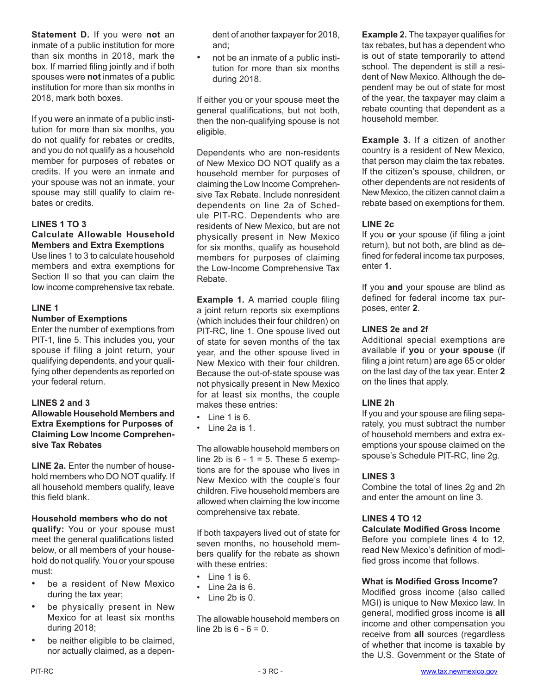**Statement D.** If you were **not** an inmate of a public institution for more than six months in 2018, mark the box. If married filing jointly and if both spouses were **not** inmates of a public institution for more than six months in 2018, mark both boxes.

If you were an inmate of a public institution for more than six months, you do not qualify for rebates or credits, and you do not qualify as a household member for purposes of rebates or credits. If you were an inmate and your spouse was not an inmate, your spouse may still qualify to claim rebates or credits.

## **LINES 1 TO 3**

#### **Calculate Allowable Household Members and Extra Exemptions**

Use lines 1 to 3 to calculate household members and extra exemptions for Section II so that you can claim the low income comprehensive tax rebate.

#### **LINE 1**

#### **Number of Exemptions**

Enter the number of exemptions from PIT-1, line 5. This includes you, your spouse if filing a joint return, your qualifying dependents, and your qualifying other dependents as reported on your federal return.

#### **LINES 2 and 3**

**Allowable Household Members and Extra Exemptions for Purposes of Claiming Low Income Comprehensive Tax Rebates**

**LINE 2a.** Enter the number of household members who DO NOT qualify. If all household members qualify, leave this field blank.

#### **Household members who do not**

**qualify:** You or your spouse must meet the general qualifications listed below, or all members of your household do not qualify. You or your spouse must:

- be a resident of New Mexico during the tax year;
- be physically present in New Mexico for at least six months during 2018;
- be neither eligible to be claimed, nor actually claimed, as a depen-

dent of another taxpayer for 2018, and;

• not be an inmate of a public institution for more than six months during 2018.

If either you or your spouse meet the general qualifications, but not both, then the non-qualifying spouse is not eligible.

Dependents who are non-residents of New Mexico DO NOT qualify as a household member for purposes of claiming the Low Income Comprehensive Tax Rebate. Include nonresident dependents on line 2a of Schedule PIT-RC. Dependents who are residents of New Mexico, but are not physically present in New Mexico for six months, qualify as household members for purposes of claiming the Low-Income Comprehensive Tax Rebate.

**Example 1.** A married couple filing a joint return reports six exemptions (which includes their four children) on PIT-RC, line 1. One spouse lived out of state for seven months of the tax year, and the other spouse lived in New Mexico with their four children. Because the out-of-state spouse was not physically present in New Mexico for at least six months, the couple makes these entries:

- Line 1 is 6.
- Line 2a is 1.

The allowable household members on line 2b is  $6 - 1 = 5$ . These 5 exemptions are for the spouse who lives in New Mexico with the couple's four children. Five household members are allowed when claiming the low income comprehensive tax rebate.

If both taxpayers lived out of state for seven months, no household members qualify for the rebate as shown with these entries:

- Line 1 is 6.
- Line 2a is 6.
- Line 2b is 0.

The allowable household members on line 2b is  $6 - 6 = 0$ .

**Example 2.** The taxpayer qualifies for tax rebates, but has a dependent who is out of state temporarily to attend school. The dependent is still a resident of New Mexico. Although the dependent may be out of state for most of the year, the taxpayer may claim a rebate counting that dependent as a household member.

**Example 3.** If a citizen of another country is a resident of New Mexico, that person may claim the tax rebates. If the citizen's spouse, children, or other dependents are not residents of New Mexico, the citizen cannot claim a rebate based on exemptions for them.

#### **LINE 2c**

If you **or** your spouse (if filing a joint return), but not both, are blind as defined for federal income tax purposes, enter **1**.

If you **and** your spouse are blind as defined for federal income tax purposes, enter **2**.

## **LINES 2e and 2f**

Additional special exemptions are available if **you** or **your spouse** (if filing a joint return) are age 65 or older on the last day of the tax year. Enter **2** on the lines that apply.

#### **LINE 2h**

If you and your spouse are filing separately, you must subtract the number of household members and extra exemptions your spouse claimed on the spouse's Schedule PIT-RC, line 2g.

#### **LINES 3**

Combine the total of lines 2g and 2h and enter the amount on line 3.

#### **LINES 4 TO 12**

#### **Calculate Modified Gross Income**

Before you complete lines 4 to 12, read New Mexico's definition of modified gross income that follows.

#### **What is Modified Gross Income?**

Modified gross income (also called MGI) is unique to New Mexico law. In general, modified gross income is **all** income and other compensation you receive from **all** sources (regardless of whether that income is taxable by the U.S. Government or the State of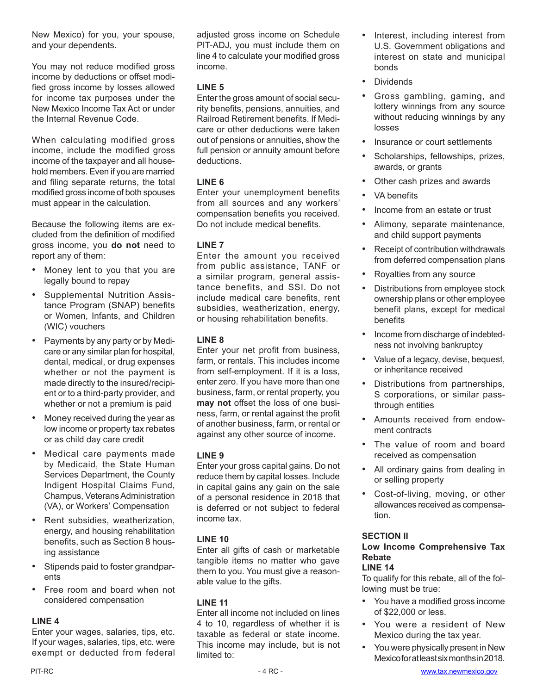New Mexico) for you, your spouse, and your dependents.

You may not reduce modified gross income by deductions or offset modified gross income by losses allowed for income tax purposes under the New Mexico Income Tax Act or under the Internal Revenue Code.

When calculating modified gross income, include the modified gross income of the taxpayer and all household members. Even if you are married and filing separate returns, the total modified gross income of both spouses must appear in the calculation.

Because the following items are excluded from the definition of modified gross income, you **do not** need to report any of them:

- Money lent to you that you are legally bound to repay
- Supplemental Nutrition Assistance Program (SNAP) benefits or Women, Infants, and Children (WIC) vouchers
- Payments by any party or by Medicare or any similar plan for hospital, dental, medical, or drug expenses whether or not the payment is made directly to the insured/recipient or to a third-party provider, and whether or not a premium is paid
- Money received during the year as low income or property tax rebates or as child day care credit
- Medical care payments made by Medicaid, the State Human Services Department, the County Indigent Hospital Claims Fund, Champus, Veterans Administration (VA), or Workers' Compensation
- Rent subsidies, weatherization, energy, and housing rehabilitation benefits, such as Section 8 housing assistance
- Stipends paid to foster grandparents
- Free room and board when not considered compensation

## **LINE 4**

Enter your wages, salaries, tips, etc. If your wages, salaries, tips, etc. were exempt or deducted from federal adjusted gross income on Schedule PIT-ADJ, you must include them on line 4 to calculate your modified gross income.

## **LINE 5**

Enter the gross amount of social security benefits, pensions, annuities, and Railroad Retirement benefits. If Medicare or other deductions were taken out of pensions or annuities, show the full pension or annuity amount before deductions.

## **LINE 6**

Enter your unemployment benefits from all sources and any workers' compensation benefits you received. Do not include medical benefits.

## **LINE 7**

Enter the amount you received from public assistance, TANF or a similar program, general assistance benefits, and SSI. Do not include medical care benefits, rent subsidies, weatherization, energy, or housing rehabilitation benefits.

## **LINE 8**

Enter your net profit from business, farm, or rentals. This includes income from self-employment. If it is a loss, enter zero. If you have more than one business, farm, or rental property, you **may not** offset the loss of one business, farm, or rental against the profit of another business, farm, or rental or against any other source of income.

## **LINE 9**

Enter your gross capital gains. Do not reduce them by capital losses. Include in capital gains any gain on the sale of a personal residence in 2018 that is deferred or not subject to federal income tax.

## **LINE 10**

Enter all gifts of cash or marketable tangible items no matter who gave them to you. You must give a reasonable value to the gifts.

## **LINE 11**

Enter all income not included on lines 4 to 10, regardless of whether it is taxable as federal or state income. This income may include, but is not limited to:

- Interest, including interest from U.S. Government obligations and interest on state and municipal bonds
- **Dividends**
- Gross gambling, gaming, and lottery winnings from any source without reducing winnings by any losses
- Insurance or court settlements
- Scholarships, fellowships, prizes, awards, or grants
- Other cash prizes and awards
- VA benefits
- Income from an estate or trust
- Alimony, separate maintenance, and child support payments
- Receipt of contribution withdrawals from deferred compensation plans
- Royalties from any source
- Distributions from employee stock ownership plans or other employee benefit plans, except for medical benefits
- Income from discharge of indebtedness not involving bankruptcy
- Value of a legacy, devise, bequest, or inheritance received
- Distributions from partnerships, S corporations, or similar passthrough entities
- Amounts received from endowment contracts
- The value of room and board received as compensation
- All ordinary gains from dealing in or selling property
- Cost-of-living, moving, or other allowances received as compensation.

## **SECTION II**

# **Low Income Comprehensive Tax Rebate**

## **LINE 14**

To qualify for this rebate, all of the following must be true:

- You have a modified gross income of \$22,000 or less.
- You were a resident of New Mexico during the tax year.
- You were physically present in New Mexicoforatleastsixmonthsin2018.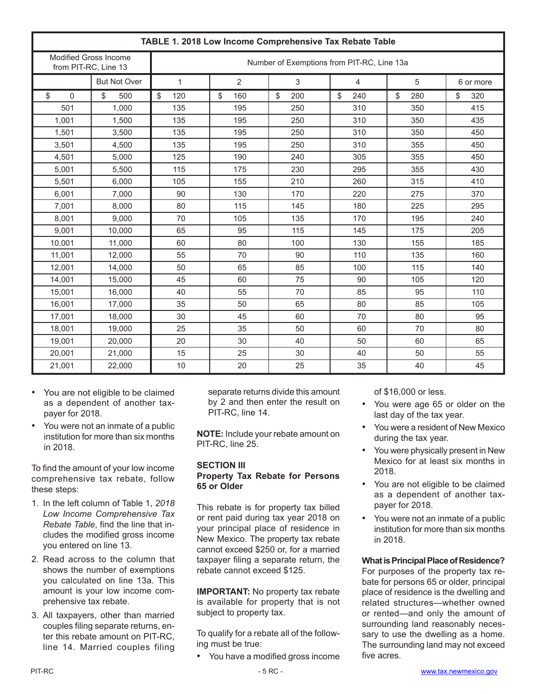| TABLE 1. 2018 Low Income Comprehensive Tax Rebate Table |                                                      |                                            |           |           |           |           |           |
|---------------------------------------------------------|------------------------------------------------------|--------------------------------------------|-----------|-----------|-----------|-----------|-----------|
|                                                         | <b>Modified Gross Income</b><br>from PIT-RC, Line 13 | Number of Exemptions from PIT-RC, Line 13a |           |           |           |           |           |
|                                                         | <b>But Not Over</b>                                  | 1                                          | 2         | 3         | 4         | 5         | 6 or more |
| \$<br>$\Omega$                                          | \$<br>500                                            | \$<br>120                                  | 160<br>\$ | \$<br>200 | \$<br>240 | 280<br>\$ | \$<br>320 |
| 501                                                     | 1,000                                                | 135                                        | 195       | 250       | 310       | 350       | 415       |
| 1,001                                                   | 1,500                                                | 135                                        | 195       | 250       | 310       | 350       | 435       |
| 1.501                                                   | 3.500                                                | 135                                        | 195       | 250       | 310       | 350       | 450       |
| 3,501                                                   | 4,500                                                | 135                                        | 195       | 250       | 310       | 355       | 450       |
| 4,501                                                   | 5,000                                                | 125                                        | 190       | 240       | 305       | 355       | 450       |
| 5,001                                                   | 5,500                                                | 115                                        | 175       | 230       | 295       | 355       | 430       |
| 5,501                                                   | 6,000                                                | 105                                        | 155       | 210       | 260       | 315       | 410       |
| 6,001                                                   | 7.000                                                | 90                                         | 130       | 170       | 220       | 275       | 370       |
| 7,001                                                   | 8.000                                                | 80                                         | 115       | 145       | 180       | 225       | 295       |
| 8,001                                                   | 9,000                                                | 70                                         | 105       | 135       | 170       | 195       | 240       |
| 9,001                                                   | 10,000                                               | 65                                         | 95        | 115       | 145       | 175       | 205       |
| 10,001                                                  | 11,000                                               | 60                                         | 80        | 100       | 130       | 155       | 185       |
| 11,001                                                  | 12,000                                               | 55                                         | 70        | 90        | 110       | 135       | 160       |
| 12,001                                                  | 14.000                                               | 50                                         | 65        | 85        | 100       | 115       | 140       |
| 14,001                                                  | 15,000                                               | 45                                         | 60        | 75        | 90        | 105       | 120       |
| 15,001                                                  | 16,000                                               | 40                                         | 55        | 70        | 85        | 95        | 110       |
| 16,001                                                  | 17.000                                               | 35                                         | 50        | 65        | 80        | 85        | 105       |
| 17,001                                                  | 18.000                                               | 30                                         | 45        | 60        | 70        | 80        | 95        |
| 18,001                                                  | 19,000                                               | 25                                         | 35        | 50        | 60        | 70        | 80        |
| 19,001                                                  | 20,000                                               | 20                                         | 30        | 40        | 50        | 60        | 65        |
| 20,001                                                  | 21,000                                               | 15                                         | 25        | 30        | 40        | 50        | 55        |
| 21,001                                                  | 22,000                                               | 10                                         | 20        | 25        | 35        | 40        | 45        |

- You are not eligible to be claimed as a dependent of another taxpayer for 2018.
- You were not an inmate of a public institution for more than six months in 2018.

To find the amount of your low income comprehensive tax rebate, follow these steps:

- 1. In the left column of Table 1, *2018 Low Income Comprehensive Tax Rebate Table*, find the line that includes the modified gross income you entered on line 13.
- 2. Read across to the column that shows the number of exemptions you calculated on line 13a. This amount is your low income comprehensive tax rebate.
- 3. All taxpayers, other than married couples filing separate returns, enter this rebate amount on PIT-RC, line 14. Married couples filing

separate returns divide this amount by 2 and then enter the result on PIT-RC, line 14.

**NOTE:** Include your rebate amount on PIT-RC, line 25.

#### **SECTION III**

#### **Property Tax Rebate for Persons 65 or Older**

This rebate is for property tax billed or rent paid during tax year 2018 on your principal place of residence in New Mexico. The property tax rebate cannot exceed \$250 or, for a married taxpayer filing a separate return, the rebate cannot exceed \$125.

**IMPORTANT:** No property tax rebate is available for property that is not subject to property tax.

To qualify for a rebate all of the following must be true:

• You have a modified gross income

of \$16,000 or less.

- You were age 65 or older on the last day of the tax year.
- You were a resident of New Mexico during the tax year.
- You were physically present in New Mexico for at least six months in 2018.
- You are not eligible to be claimed as a dependent of another taxpayer for 2018.
- You were not an inmate of a public institution for more than six months in 2018.

#### **What is Principal Place of Residence?**

For purposes of the property tax rebate for persons 65 or older, principal place of residence is the dwelling and related structures—whether owned or rented—and only the amount of surrounding land reasonably necessary to use the dwelling as a home. The surrounding land may not exceed five acres.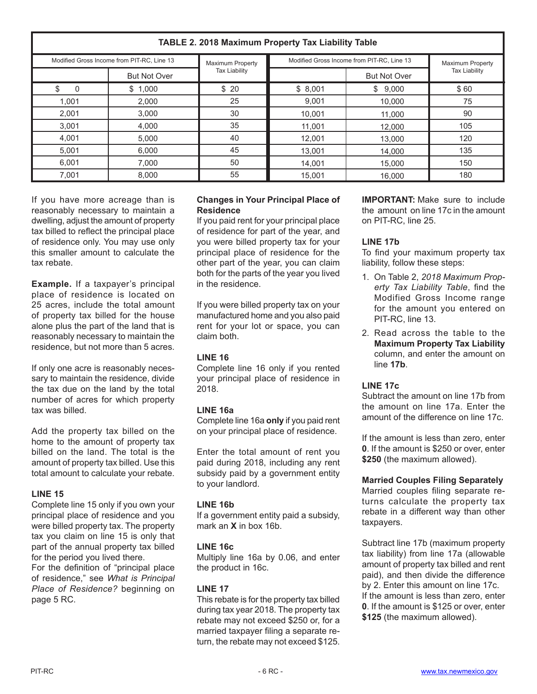#### **TABLE 2. 2018 Maximum Property Tax Liability Table** Modified Gross Income from PIT-RC, Line 13 Movimum Property Modified Gross Income from PIT-RC, Line 13 But Not Over **But Not Over But Not Over** But Not Over Maximum Property Tax Liability Maximum Property Tax Liability \$ 0 1,001 2,001 3,001 4,001 5,001 6,001 7,001 \$ 1,000 2,000 3,000 4,000 5,000 6,000 7,000 8,000 \$ 8,001 9,001 10,001 11,001 12,001 13,001 14,001 15,001 \$ 9,000 10,000 11,000 12,000 13,000 14,000 15,000 16,000 \$ 20 25 30 35 40 45 50 55 \$ 60 75 90 105 120 135 150 180

If you have more acreage than is reasonably necessary to maintain a dwelling, adjust the amount of property tax billed to reflect the principal place of residence only. You may use only this smaller amount to calculate the tax rebate.

**Example.** If a taxpayer's principal place of residence is located on 25 acres, include the total amount of property tax billed for the house alone plus the part of the land that is reasonably necessary to maintain the residence, but not more than 5 acres.

If only one acre is reasonably necessary to maintain the residence, divide the tax due on the land by the total number of acres for which property tax was billed.

Add the property tax billed on the home to the amount of property tax billed on the land. The total is the amount of property tax billed. Use this total amount to calculate your rebate.

## **LINE 15**

Complete line 15 only if you own your principal place of residence and you were billed property tax. The property tax you claim on line 15 is only that part of the annual property tax billed for the period you lived there.

For the definition of "principal place of residence," see *What is Principal Place of Residence?* beginning on page 5 RC.

## **Changes in Your Principal Place of Residence**

If you paid rent for your principal place of residence for part of the year, and you were billed property tax for your principal place of residence for the other part of the year, you can claim both for the parts of the year you lived in the residence.

If you were billed property tax on your manufactured home and you also paid rent for your lot or space, you can claim both.

## **LINE 16**

Complete line 16 only if you rented your principal place of residence in 2018.

## **LINE 16a**

Complete line 16a **only** if you paid rent on your principal place of residence.

Enter the total amount of rent you paid during 2018, including any rent subsidy paid by a government entity to your landlord.

## **LINE 16b**

If a government entity paid a subsidy, mark an **X** in box 16b.

## **LINE 16c**

Multiply line 16a by 0.06, and enter the product in 16c.

## **LINE 17**

This rebate is for the property tax billed during tax year 2018. The property tax rebate may not exceed \$250 or, for a married taxpayer filing a separate return, the rebate may not exceed \$125.

**IMPORTANT:** Make sure to include the amount on line 17c in the amount on PIT-RC, line 25.

## **LINE 17b**

To find your maximum property tax liability, follow these steps:

- 1. On Table 2, *2018 Maximum Property Tax Liability Table*, find the Modified Gross Income range for the amount you entered on PIT-RC, line 13.
- 2. Read across the table to the **Maximum Property Tax Liability** column, and enter the amount on line **17b**.

## **LINE 17c**

Subtract the amount on line 17b from the amount on line 17a. Enter the amount of the difference on line 17c.

If the amount is less than zero, enter **0**. If the amount is \$250 or over, enter **\$250** (the maximum allowed).

**Married Couples Filing Separately**

Married couples filing separate returns calculate the property tax rebate in a different way than other taxpayers.

Subtract line 17b (maximum property tax liability) from line 17a (allowable amount of property tax billed and rent paid), and then divide the difference by 2. Enter this amount on line 17c. If the amount is less than zero, enter **0**. If the amount is \$125 or over, enter **\$125** (the maximum allowed).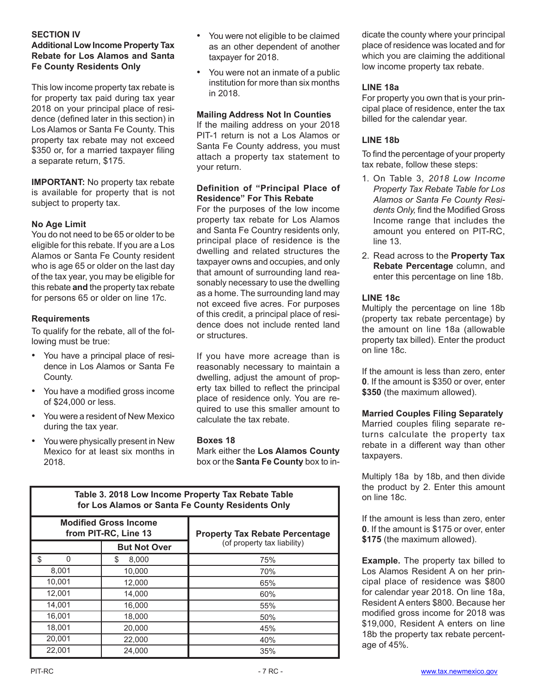#### **SECTION IV**

## **Additional Low Income Property Tax Rebate for Los Alamos and Santa Fe County Residents Only**

This low income property tax rebate is for property tax paid during tax year 2018 on your principal place of residence (defined later in this section) in Los Alamos or Santa Fe County. This property tax rebate may not exceed \$350 or, for a married taxpayer filing a separate return, \$175.

**IMPORTANT:** No property tax rebate is available for property that is not subject to property tax.

#### **No Age Limit**

You do not need to be 65 or older to be eligible for this rebate. If you are a Los Alamos or Santa Fe County resident who is age 65 or older on the last day of the tax year, you may be eligible for this rebate **and** the property tax rebate for persons 65 or older on line 17c.

#### **Requirements**

To qualify for the rebate, all of the following must be true:

- You have a principal place of residence in Los Alamos or Santa Fe County.
- You have a modified gross income of \$24,000 or less.
- You were a resident of New Mexico during the tax year.
- You were physically present in New Mexico for at least six months in 2018.
- You were not eligible to be claimed as an other dependent of another taxpayer for 2018.
- You were not an inmate of a public institution for more than six months in 2018.

#### **Mailing Address Not In Counties**

If the mailing address on your 2018 PIT-1 return is not a Los Alamos or Santa Fe County address, you must attach a property tax statement to your return.

#### **Definition of "Principal Place of Residence" For This Rebate**

For the purposes of the low income property tax rebate for Los Alamos and Santa Fe Country residents only, principal place of residence is the dwelling and related structures the taxpayer owns and occupies, and only that amount of surrounding land reasonably necessary to use the dwelling as a home. The surrounding land may not exceed five acres. For purposes of this credit, a principal place of residence does not include rented land or structures.

If you have more acreage than is reasonably necessary to maintain a dwelling, adjust the amount of property tax billed to reflect the principal place of residence only. You are required to use this smaller amount to calculate the tax rebate.

#### **Boxes 18**

Mark either the **Los Alamos County**  box or the **Santa Fe County** box to in-

| Table 3. 2018 Low Income Property Tax Rebate Table<br>for Los Alamos or Santa Fe County Residents Only |                                                      |                                       |  |  |  |  |
|--------------------------------------------------------------------------------------------------------|------------------------------------------------------|---------------------------------------|--|--|--|--|
|                                                                                                        | <b>Modified Gross Income</b><br>from PIT-RC, Line 13 | <b>Property Tax Rebate Percentage</b> |  |  |  |  |
|                                                                                                        | <b>But Not Over</b>                                  | (of property tax liability)           |  |  |  |  |
| \$<br>O                                                                                                | \$<br>8.000                                          | 75%                                   |  |  |  |  |
| 8.001                                                                                                  | 10,000                                               | 70%                                   |  |  |  |  |
| 10.001                                                                                                 | 12,000                                               | 65%                                   |  |  |  |  |
| 12.001                                                                                                 | 14,000                                               | 60%                                   |  |  |  |  |
| 14.001                                                                                                 | 16,000                                               | 55%                                   |  |  |  |  |
| 16,001                                                                                                 | 18,000                                               | 50%                                   |  |  |  |  |
| 18.001<br>20,000                                                                                       |                                                      | 45%                                   |  |  |  |  |
| 20,001                                                                                                 | 22,000                                               | 40%                                   |  |  |  |  |
| 22,001                                                                                                 | 24.000                                               | 35%                                   |  |  |  |  |

dicate the county where your principal place of residence was located and for which you are claiming the additional low income property tax rebate.

#### **LINE 18a**

For property you own that is your principal place of residence, enter the tax billed for the calendar year.

## **LINE 18b**

To find the percentage of your property tax rebate, follow these steps:

- 1. On Table 3, *2018 Low Income Property Tax Rebate Table for Los Alamos or Santa Fe County Residents Only,* find the Modified Gross Income range that includes the amount you entered on PIT-RC, line 13.
- 2. Read across to the **Property Tax Rebate Percentage** column, and enter this percentage on line 18b.

#### **LINE 18c**

Multiply the percentage on line 18b (property tax rebate percentage) by the amount on line 18a (allowable property tax billed). Enter the product on line 18c.

If the amount is less than zero, enter **0**. If the amount is \$350 or over, enter **\$350** (the maximum allowed).

#### **Married Couples Filing Separately**

Married couples filing separate returns calculate the property tax rebate in a different way than other taxpayers.

Multiply 18a by 18b, and then divide the product by 2. Enter this amount on line 18c.

If the amount is less than zero, enter **0**. If the amount is \$175 or over, enter **\$175** (the maximum allowed).

**Example.** The property tax billed to Los Alamos Resident A on her principal place of residence was \$800 for calendar year 2018. On line 18a, Resident A enters \$800. Because her modified gross income for 2018 was \$19,000, Resident A enters on line 18b the property tax rebate percentage of 45%.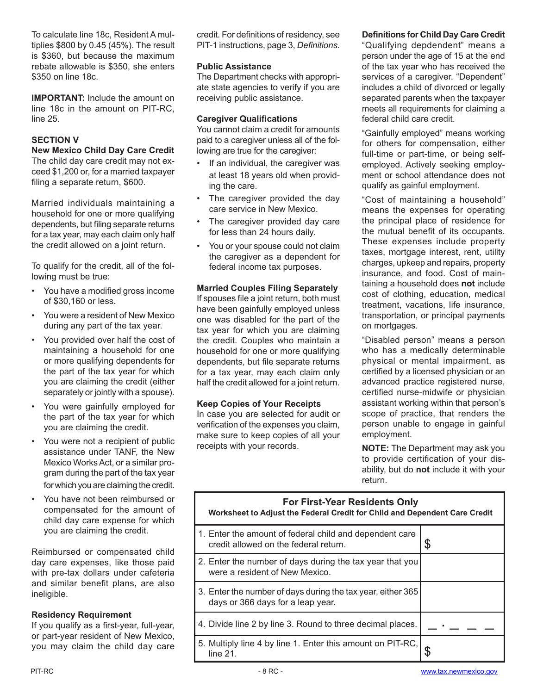To calculate line 18c, Resident A multiplies \$800 by 0.45 (45%). The result is \$360, but because the maximum rebate allowable is \$350, she enters \$350 on line 18c.

**IMPORTANT:** Include the amount on line 18c in the amount on PIT-RC, line 25.

## **SECTION V**

#### **New Mexico Child Day Care Credit**

The child day care credit may not exceed \$1,200 or, for a married taxpayer filing a separate return, \$600.

Married individuals maintaining a household for one or more qualifying dependents, but filing separate returns for a tax year, may each claim only half the credit allowed on a joint return.

To qualify for the credit, all of the following must be true:

- You have a modified gross income of \$30,160 or less.
- You were a resident of New Mexico during any part of the tax year.
- You provided over half the cost of maintaining a household for one or more qualifying dependents for the part of the tax year for which you are claiming the credit (either separately or jointly with a spouse).
- You were gainfully employed for the part of the tax year for which you are claiming the credit.
- You were not a recipient of public assistance under TANF, the New Mexico Works Act, or a similar program during the part of the tax year for which you are claiming the credit.
- You have not been reimbursed or compensated for the amount of child day care expense for which you are claiming the credit.

Reimbursed or compensated child day care expenses, like those paid with pre-tax dollars under cafeteria and similar benefit plans, are also ineligible.

#### **Residency Requirement**

If you qualify as a first-year, full-year, or part-year resident of New Mexico, you may claim the child day care credit. For definitions of residency, see PIT-1 instructions, page 3, *Definitions*.

#### **Public Assistance**

The Department checks with appropriate state agencies to verify if you are receiving public assistance.

#### **Caregiver Qualifications**

You cannot claim a credit for amounts paid to a caregiver unless all of the following are true for the caregiver:

- If an individual, the caregiver was at least 18 years old when providing the care.
- The caregiver provided the day care service in New Mexico.
- The caregiver provided day care for less than 24 hours daily.
- You or your spouse could not claim the caregiver as a dependent for federal income tax purposes.

#### **Married Couples Filing Separately**

If spouses file a joint return, both must have been gainfully employed unless one was disabled for the part of the tax year for which you are claiming the credit. Couples who maintain a household for one or more qualifying dependents, but file separate returns for a tax year, may each claim only half the credit allowed for a joint return.

#### **Keep Copies of Your Receipts**

In case you are selected for audit or verification of the expenses you claim, make sure to keep copies of all your receipts with your records.

## **Definitions for Child Day Care Credit**

"Qualifying depdendent" means a person under the age of 15 at the end of the tax year who has received the services of a caregiver. "Dependent" includes a child of divorced or legally separated parents when the taxpayer meets all requirements for claiming a federal child care credit.

"Gainfully employed" means working for others for compensation, either full-time or part-time, or being selfemployed. Actively seeking employment or school attendance does not qualify as gainful employment.

"Cost of maintaining a household" means the expenses for operating the principal place of residence for the mutual benefit of its occupants. These expenses include property taxes, mortgage interest, rent, utility charges, upkeep and repairs, property insurance, and food. Cost of maintaining a household does **not** include cost of clothing, education, medical treatment, vacations, life insurance, transportation, or principal payments on mortgages.

"Disabled person" means a person who has a medically determinable physical or mental impairment, as certified by a licensed physician or an advanced practice registered nurse, certified nurse-midwife or physician assistant working within that person's scope of practice, that renders the person unable to engage in gainful employment.

**NOTE:** The Department may ask you to provide certification of your disability, but do **not** include it with your return.

#### **For First-Year Residents Only**

|  | Worksheet to Adjust the Federal Credit for Child and Dependent Care Credit |
|--|----------------------------------------------------------------------------|

| 1. Enter the amount of federal child and dependent care<br>credit allowed on the federal return. | \$ |
|--------------------------------------------------------------------------------------------------|----|
| 2. Enter the number of days during the tax year that you<br>were a resident of New Mexico.       |    |
| 3. Enter the number of days during the tax year, either 365<br>days or 366 days for a leap year. |    |
| 4. Divide line 2 by line 3. Round to three decimal places.                                       |    |
| 5. Multiply line 4 by line 1. Enter this amount on PIT-RC,<br>$line 21$ .                        |    |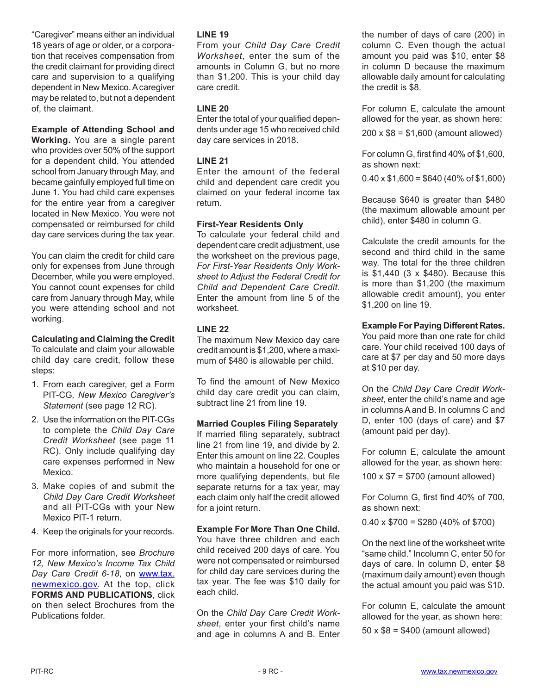"Caregiver" means either an individual 18 years of age or older, or a corporation that receives compensation from the credit claimant for providing direct care and supervision to a qualifying dependent in New Mexico. A caregiver may be related to, but not a dependent of, the claimant.

**Example of Attending School and** 

**Working.** You are a single parent who provides over 50% of the support for a dependent child. You attended school from January through May, and became gainfully employed full time on June 1. You had child care expenses for the entire year from a caregiver located in New Mexico. You were not compensated or reimbursed for child day care services during the tax year.

You can claim the credit for child care only for expenses from June through December, while you were employed. You cannot count expenses for child care from January through May, while you were attending school and not working.

## **Calculating and Claiming the Credit**

To calculate and claim your allowable child day care credit, follow these steps:

- 1. From each caregiver, get a Form PIT‑CG*, New Mexico Caregiver's Statement* (see page 12 RC).
- 2. Use the information on the PIT-CGs to complete the *Child Day Care Credit Worksheet* (see page 11 RC). Only include qualifying day care expenses performed in New Mexico.
- 3. Make copies of and submit the *Child Day Care Credit Worksheet* and all PIT-CGs with your New Mexico PIT-1 return.
- 4. Keep the originals for your records.

For more information, see *[Brochure](http://www.tax.newmexico.gov/SiteCollectionDocuments/Publications/Brochures/Brochure-12-PIT-Child-Day-Care-Credit-08.pdf) [12, New Mexico's Income Tax Child](http://www.tax.newmexico.gov/SiteCollectionDocuments/Publications/Brochures/Brochure-12-PIT-Child-Day-Care-Credit-08.pdf) [Day Care Credit](http://www.tax.newmexico.gov/SiteCollectionDocuments/Publications/Brochures/Brochure-12-PIT-Child-Day-Care-Credit-08.pdf) 6-18*, on [www.tax.](www.tax.newmexico.gov) [newmexico.gov](www.tax.newmexico.gov). At the top, click **FORMS AND PUBLICATIONS, click** on then select Brochures from the Publications folder.

#### **LINE 19**

From your *Child Day Care Credit Worksheet*, enter the sum of the amounts in Column G, but no more than \$1,200. This is your child day care credit.

#### **LINE 20**

Enter the total of your qualified dependents under age 15 who received child day care services in 2018.

## **LINE 21**

Enter the amount of the federal child and dependent care credit you claimed on your federal income tax return.

#### **First-Year Residents Only**

To calculate your federal child and dependent care credit adjustment, use the worksheet on the previous page, *For First-Year Residents Only Worksheet to Adjust the Federal Credit for Child and Dependent Care Credit*. Enter the amount from line 5 of the worksheet.

#### **LINE 22**

The maximum New Mexico day care credit amount is \$1,200, where a maximum of \$480 is allowable per child.

To find the amount of New Mexico child day care credit you can claim, subtract line 21 from line 19.

#### **Married Couples Filing Separately**

If married filing separately, subtract line 21 from line 19, and divide by 2. Enter this amount on line 22. Couples who maintain a household for one or more qualifying dependents, but file separate returns for a tax year, may each claim only half the credit allowed for a joint return.

#### **Example For More Than One Child.**

You have three children and each child received 200 days of care. You were not compensated or reimbursed for child day care services during the tax year. The fee was \$10 daily for each child.

On the *Child Day Care Credit Worksheet*, enter your first child's name and age in columns A and B. Enter the number of days of care (200) in column C. Even though the actual amount you paid was \$10, enter \$8 in column D because the maximum allowable daily amount for calculating the credit is \$8.

For column E, calculate the amount allowed for the year, as shown here:

200 x \$8 = \$1,600 (amount allowed)

For column G, first find 40% of \$1,600, as shown next:

 $0.40 \times $1,600 = $640 (40\% of $1,600)$ 

Because \$640 is greater than \$480 (the maximum allowable amount per child), enter \$480 in column G.

Calculate the credit amounts for the second and third child in the same way. The total for the three children is \$1,440 (3 x \$480). Because this is more than \$1,200 (the maximum allowable credit amount), you enter \$1,200 on line 19.

#### **Example For Paying Different Rates.**

You paid more than one rate for child care. Your child received 100 days of care at \$7 per day and 50 more days at \$10 per day.

On the *Child Day Care Credit Worksheet*, enter the child's name and age in columnsAand B. In columns C and D, enter 100 (days of care) and \$7 (amount paid per day).

For column E, calculate the amount allowed for the year, as shown here:

100 x \$7 = \$700 (amount allowed)

For Column G, first find 40% of 700, as shown next:

 $0.40 \times $700 = $280 (40\% \text{ of } $700)$ 

On the next line of the worksheet write "same child." Incolumn C, enter 50 for days of care. In column D, enter \$8 (maximum daily amount) even though the actual amount you paid was \$10.

For column E, calculate the amount allowed for the year, as shown here:

50 x \$8 = \$400 (amount allowed)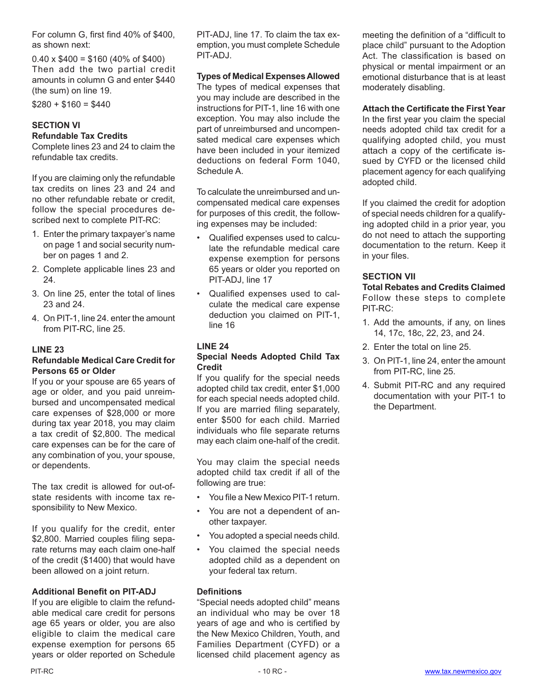For column G, first find 40% of \$400, as shown next:

 $0.40 \times $400 = $160 (40\% \text{ of } $400)$ Then add the two partial credit amounts in column G and enter \$440 (the sum) on line 19.

 $$280 + $160 = $440$ 

# **SECTION VI Refundable Tax Credits**

Complete lines 23 and 24 to claim the refundable tax credits.

If you are claiming only the refundable tax credits on lines 23 and 24 and no other refundable rebate or credit, follow the special procedures described next to complete PIT-RC:

- 1. Enter the primary taxpayer's name on page 1 and social security number on pages 1 and 2.
- 2. Complete applicable lines 23 and 24.
- 3. On line 25, enter the total of lines 23 and 24.
- 4. On PIT-1, line 24, enter the amount from PIT-RC, line 25.

## **LINE 23**

#### **Refundable Medical Care Credit for Persons 65 or Older**

If you or your spouse are 65 years of age or older, and you paid unreimbursed and uncompensated medical care expenses of \$28,000 or more during tax year 2018, you may claim a tax credit of \$2,800. The medical care expenses can be for the care of any combination of you, your spouse, or dependents.

The tax credit is allowed for out-ofstate residents with income tax responsibility to New Mexico.

If you qualify for the credit, enter \$2,800. Married couples filing separate returns may each claim one-half of the credit (\$1400) that would have been allowed on a joint return.

#### **Additional Benefit on PIT-ADJ**

If you are eligible to claim the refundable medical care credit for persons age 65 years or older, you are also eligible to claim the medical care expense exemption for persons 65 years or older reported on Schedule PIT-ADJ, line 17. To claim the tax exemption, you must complete Schedule PIT-ADJ.

#### **Types of Medical Expenses Allowed**

The types of medical expenses that you may include are described in the instructions for PIT-1, line 16 with one exception. You may also include the part of unreimbursed and uncompensated medical care expenses which have been included in your itemized deductions on federal Form 1040, Schedule A.

To calculate the unreimbursed and uncompensated medical care expenses for purposes of this credit, the following expenses may be included:

- Qualified expenses used to calculate the refundable medical care expense exemption for persons 65 years or older you reported on PIT-ADJ, line 17
- Qualified expenses used to calculate the medical care expense deduction you claimed on PIT-1, line 16

## **LINE 24**

#### **Special Needs Adopted Child Tax Credit**

If you qualify for the special needs adopted child tax credit, enter \$1,000 for each special needs adopted child. If you are married filing separately, enter \$500 for each child. Married individuals who file separate returns may each claim one-half of the credit.

You may claim the special needs adopted child tax credit if all of the following are true:

- You file a New Mexico PIT-1 return.
- You are not a dependent of another taxpayer.
- You adopted a special needs child.
- You claimed the special needs adopted child as a dependent on your federal tax return.

#### **Definitions**

"Special needs adopted child" means an individual who may be over 18 years of age and who is certified by the New Mexico Children, Youth, and Families Department (CYFD) or a licensed child placement agency as

meeting the definition of a "difficult to place child" pursuant to the Adoption Act. The classification is based on physical or mental impairment or an emotional disturbance that is at least moderately disabling.

**Attach the Certificate the First Year**

In the first year you claim the special needs adopted child tax credit for a qualifying adopted child, you must attach a copy of the certificate issued by CYFD or the licensed child placement agency for each qualifying adopted child.

If you claimed the credit for adoption of special needs children for a qualifying adopted child in a prior year, you do not need to attach the supporting documentation to the return. Keep it in your files.

## **SECTION VII**

**Total Rebates and Credits Claimed** Follow these steps to complete PIT-RC:

- 1. Add the amounts, if any, on lines 14, 17c, 18c, 22, 23, and 24.
- 2. Enter the total on line 25.
- 3. On PIT-1, line 24, enter the amount from PIT-RC, line 25.
- 4. Submit PIT-RC and any required documentation with your PIT-1 to the Department.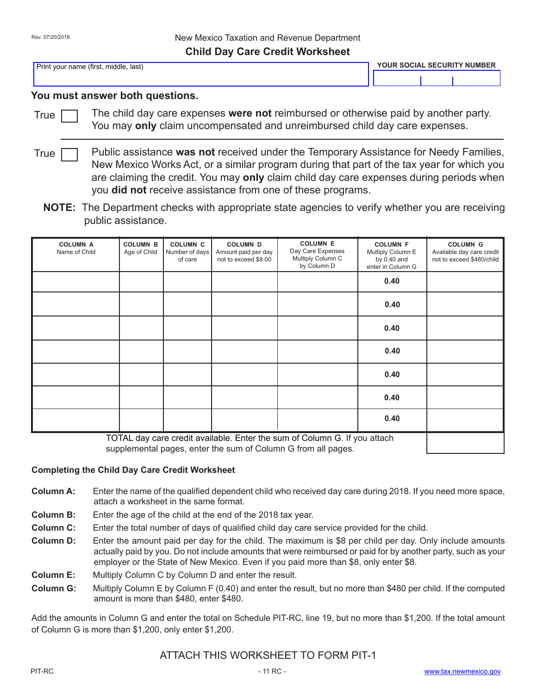Print your name (first, middle, last) **YOUR SOCIAL SECURITY NUMBER**

Γ

## **You must answer both questions.**

True

The child day care expenses **were not** reimbursed or otherwise paid by another party. You may **only** claim uncompensated and unreimbursed child day care expenses.

Public assistance **was not** received under the Temporary Assistance for Needy Families, New Mexico Works Act, or a similar program during that part of the tax year for which you are claiming the credit. You may **only** claim child day care expenses during periods when you **did not** receive assistance from one of these programs. **True** 

**NOTE:** The Department checks with appropriate state agencies to verify whether you are receiving public assistance.

| <b>COLUMN A</b><br>Name of Child                                          | <b>COLUMN B</b><br>Age of Child | <b>COLUMN C</b><br>Number of days<br>of care | <b>COLUMN D</b><br>Amount paid per day<br>not to exceed \$8.00 | <b>COLUMN E</b><br>Day Care Expenses<br>Multiply Column C<br>by Column D | <b>COLUMN F</b><br>Multiply Column E<br>by $0.40$ and<br>enter in Column G | <b>COLUMN G</b><br>Available day care credit<br>not to exceed \$480/child |
|---------------------------------------------------------------------------|---------------------------------|----------------------------------------------|----------------------------------------------------------------|--------------------------------------------------------------------------|----------------------------------------------------------------------------|---------------------------------------------------------------------------|
|                                                                           |                                 |                                              |                                                                |                                                                          | 0.40                                                                       |                                                                           |
|                                                                           |                                 |                                              |                                                                |                                                                          | 0.40                                                                       |                                                                           |
|                                                                           |                                 |                                              |                                                                |                                                                          | 0.40                                                                       |                                                                           |
|                                                                           |                                 |                                              |                                                                |                                                                          | 0.40                                                                       |                                                                           |
|                                                                           |                                 |                                              |                                                                |                                                                          | 0.40                                                                       |                                                                           |
|                                                                           |                                 |                                              |                                                                |                                                                          | 0.40                                                                       |                                                                           |
|                                                                           |                                 |                                              |                                                                |                                                                          | 0.40                                                                       |                                                                           |
| TOTAL day care credit available. Enter the sum of Column G. If you attach |                                 |                                              |                                                                |                                                                          |                                                                            |                                                                           |

supplemental pages, enter the sum of Column G from all pages.

#### **Completing the Child Day Care Credit Worksheet**

- **Column A:** Enter the name of the qualified dependent child who received day care during 2018. If you need more space, attach a worksheet in the same format.
- **Column B:** Enter the age of the child at the end of the 2018 tax year.
- **Column C:** Enter the total number of days of qualified child day care service provided for the child.
- **Column D:** Enter the amount paid per day for the child. The maximum is \$8 per child per day. Only include amounts actually paid by you. Do not include amounts that were reimbursed or paid for by another party, such as your employer or the State of New Mexico. Even if you paid more than \$8, only enter \$8.
- **Column E:** Multiply Column C by Column D and enter the result.
- **Column G:** Multiply Column E by Column F (0.40) and enter the result, but no more than \$480 per child. If the computed amount is more than \$480, enter \$480.

Add the amounts in Column G and enter the total on Schedule PIT-RC, line 19, but no more than \$1,200. If the total amount of Column G is more than \$1,200, only enter \$1,200.

## ATTACH THIS WORKSHEET TO FORM PIT-1